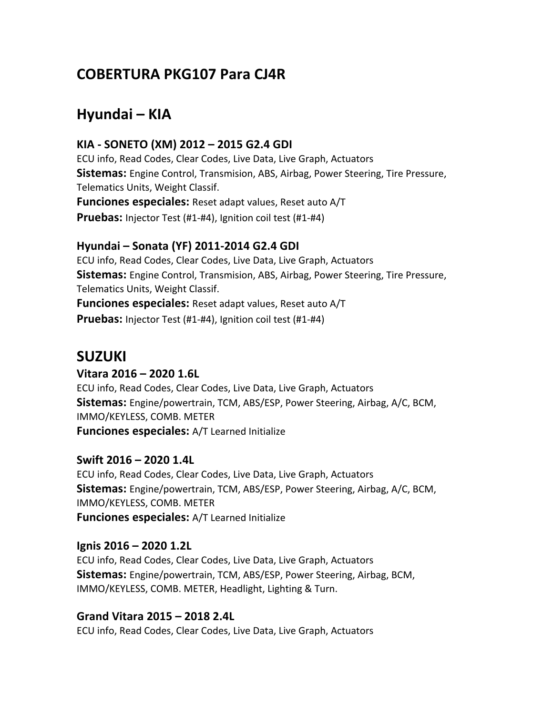# **COBERTURA PKG107 Para CJ4R**

# **Hyundai – KIA**

### **KIA - SONETO (XM) 2012 – 2015 G2.4 GDI**

ECU info, Read Codes, Clear Codes, Live Data, Live Graph, Actuators **Sistemas:** Engine Control, Transmision, ABS, Airbag, Power Steering, Tire Pressure, Telematics Units, Weight Classif. **Funciones especiales:** Reset adapt values, Reset auto A/T **Pruebas:** Injector Test (#1-#4), Ignition coil test (#1-#4)

#### **Hyundai – Sonata (YF) 2011-2014 G2.4 GDI**

ECU info, Read Codes, Clear Codes, Live Data, Live Graph, Actuators **Sistemas:** Engine Control, Transmision, ABS, Airbag, Power Steering, Tire Pressure, Telematics Units, Weight Classif. **Funciones especiales:** Reset adapt values, Reset auto A/T **Pruebas:** Injector Test (#1-#4), Ignition coil test (#1-#4)

## **SUZUKI**

#### **Vitara 2016 – 2020 1.6L**

ECU info, Read Codes, Clear Codes, Live Data, Live Graph, Actuators **Sistemas:** Engine/powertrain, TCM, ABS/ESP, Power Steering, Airbag, A/C, BCM, IMMO/KEYLESS, COMB. METER **Funciones especiales:** A/T Learned Initialize

#### **Swift 2016 – 2020 1.4L**

ECU info, Read Codes, Clear Codes, Live Data, Live Graph, Actuators **Sistemas:** Engine/powertrain, TCM, ABS/ESP, Power Steering, Airbag, A/C, BCM, IMMO/KEYLESS, COMB. METER **Funciones especiales:** A/T Learned Initialize

#### **Ignis 2016 – 2020 1.2L**

ECU info, Read Codes, Clear Codes, Live Data, Live Graph, Actuators **Sistemas:** Engine/powertrain, TCM, ABS/ESP, Power Steering, Airbag, BCM, IMMO/KEYLESS, COMB. METER, Headlight, Lighting & Turn.

### **Grand Vitara 2015 – 2018 2.4L**

ECU info, Read Codes, Clear Codes, Live Data, Live Graph, Actuators